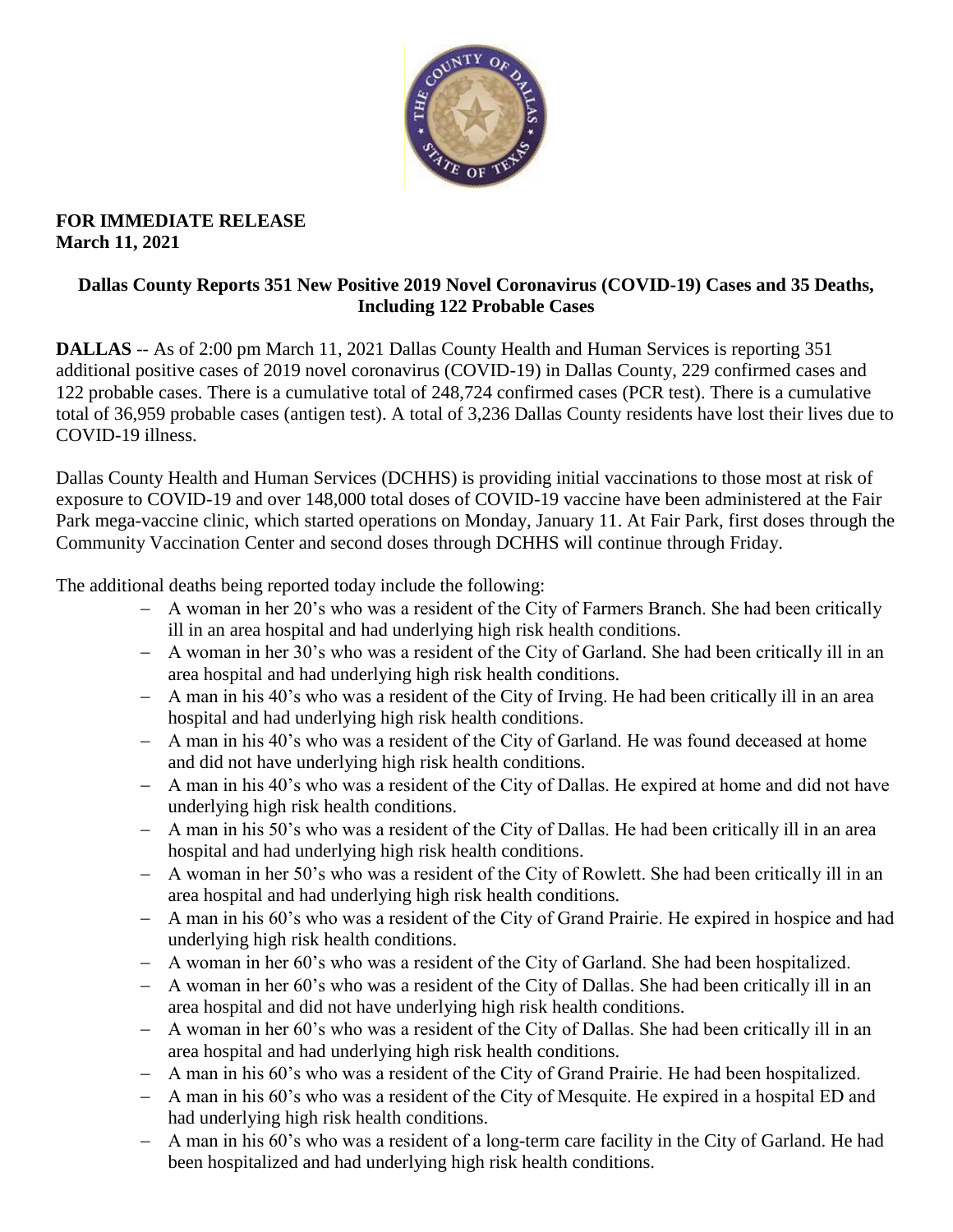

### **FOR IMMEDIATE RELEASE March 11, 2021**

### **Dallas County Reports 351 New Positive 2019 Novel Coronavirus (COVID-19) Cases and 35 Deaths, Including 122 Probable Cases**

**DALLAS** -- As of 2:00 pm March 11, 2021 Dallas County Health and Human Services is reporting 351 additional positive cases of 2019 novel coronavirus (COVID-19) in Dallas County, 229 confirmed cases and 122 probable cases. There is a cumulative total of 248,724 confirmed cases (PCR test). There is a cumulative total of 36,959 probable cases (antigen test). A total of 3,236 Dallas County residents have lost their lives due to COVID-19 illness.

Dallas County Health and Human Services (DCHHS) is providing initial vaccinations to those most at risk of exposure to COVID-19 and over 148,000 total doses of COVID-19 vaccine have been administered at the Fair Park mega-vaccine clinic, which started operations on Monday, January 11. At Fair Park, first doses through the Community Vaccination Center and second doses through DCHHS will continue through Friday.

The additional deaths being reported today include the following:

- A woman in her 20's who was a resident of the City of Farmers Branch. She had been critically ill in an area hospital and had underlying high risk health conditions.
- A woman in her 30's who was a resident of the City of Garland. She had been critically ill in an area hospital and had underlying high risk health conditions.
- A man in his 40's who was a resident of the City of Irving. He had been critically ill in an area hospital and had underlying high risk health conditions.
- A man in his 40's who was a resident of the City of Garland. He was found deceased at home and did not have underlying high risk health conditions.
- A man in his 40's who was a resident of the City of Dallas. He expired at home and did not have underlying high risk health conditions.
- A man in his 50's who was a resident of the City of Dallas. He had been critically ill in an area hospital and had underlying high risk health conditions.
- A woman in her 50's who was a resident of the City of Rowlett. She had been critically ill in an area hospital and had underlying high risk health conditions.
- A man in his 60's who was a resident of the City of Grand Prairie. He expired in hospice and had underlying high risk health conditions.
- A woman in her 60's who was a resident of the City of Garland. She had been hospitalized.
- A woman in her 60's who was a resident of the City of Dallas. She had been critically ill in an area hospital and did not have underlying high risk health conditions.
- A woman in her 60's who was a resident of the City of Dallas. She had been critically ill in an area hospital and had underlying high risk health conditions.
- A man in his 60's who was a resident of the City of Grand Prairie. He had been hospitalized.
- A man in his 60's who was a resident of the City of Mesquite. He expired in a hospital ED and had underlying high risk health conditions.
- A man in his 60's who was a resident of a long-term care facility in the City of Garland. He had been hospitalized and had underlying high risk health conditions.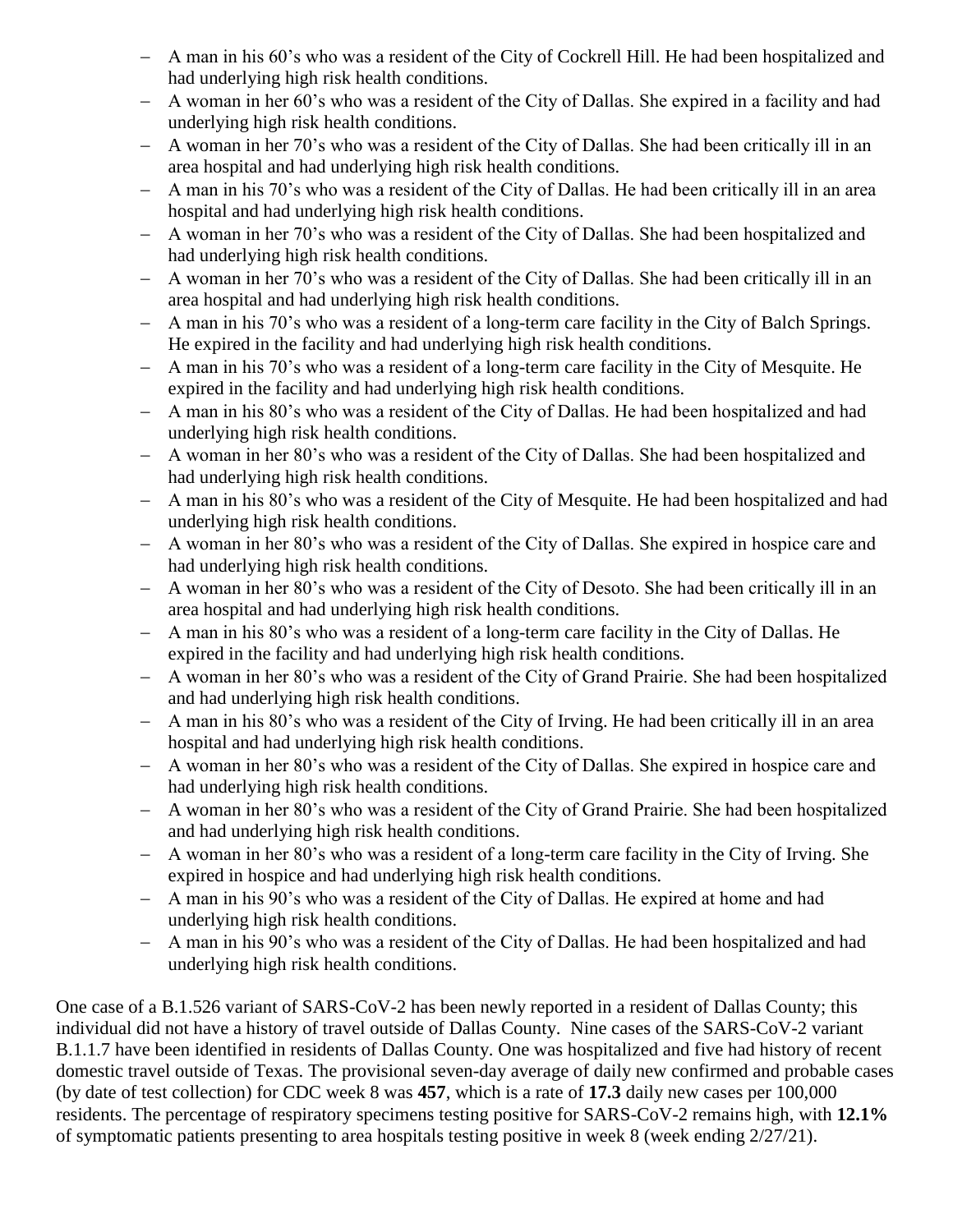- A man in his 60's who was a resident of the City of Cockrell Hill. He had been hospitalized and had underlying high risk health conditions.
- A woman in her 60's who was a resident of the City of Dallas. She expired in a facility and had underlying high risk health conditions.
- A woman in her 70's who was a resident of the City of Dallas. She had been critically ill in an area hospital and had underlying high risk health conditions.
- A man in his 70's who was a resident of the City of Dallas. He had been critically ill in an area hospital and had underlying high risk health conditions.
- A woman in her 70's who was a resident of the City of Dallas. She had been hospitalized and had underlying high risk health conditions.
- A woman in her 70's who was a resident of the City of Dallas. She had been critically ill in an area hospital and had underlying high risk health conditions.
- A man in his 70's who was a resident of a long-term care facility in the City of Balch Springs. He expired in the facility and had underlying high risk health conditions.
- A man in his 70's who was a resident of a long-term care facility in the City of Mesquite. He expired in the facility and had underlying high risk health conditions.
- A man in his 80's who was a resident of the City of Dallas. He had been hospitalized and had underlying high risk health conditions.
- A woman in her 80's who was a resident of the City of Dallas. She had been hospitalized and had underlying high risk health conditions.
- A man in his 80's who was a resident of the City of Mesquite. He had been hospitalized and had underlying high risk health conditions.
- A woman in her 80's who was a resident of the City of Dallas. She expired in hospice care and had underlying high risk health conditions.
- A woman in her 80's who was a resident of the City of Desoto. She had been critically ill in an area hospital and had underlying high risk health conditions.
- A man in his 80's who was a resident of a long-term care facility in the City of Dallas. He expired in the facility and had underlying high risk health conditions.
- A woman in her 80's who was a resident of the City of Grand Prairie. She had been hospitalized and had underlying high risk health conditions.
- A man in his 80's who was a resident of the City of Irving. He had been critically ill in an area hospital and had underlying high risk health conditions.
- A woman in her 80's who was a resident of the City of Dallas. She expired in hospice care and had underlying high risk health conditions.
- A woman in her 80's who was a resident of the City of Grand Prairie. She had been hospitalized and had underlying high risk health conditions.
- A woman in her 80's who was a resident of a long-term care facility in the City of Irving. She expired in hospice and had underlying high risk health conditions.
- A man in his 90's who was a resident of the City of Dallas. He expired at home and had underlying high risk health conditions.
- A man in his 90's who was a resident of the City of Dallas. He had been hospitalized and had underlying high risk health conditions.

One case of a B.1.526 variant of SARS-CoV-2 has been newly reported in a resident of Dallas County; this individual did not have a history of travel outside of Dallas County. Nine cases of the SARS-CoV-2 variant B.1.1.7 have been identified in residents of Dallas County. One was hospitalized and five had history of recent domestic travel outside of Texas. The provisional seven-day average of daily new confirmed and probable cases (by date of test collection) for CDC week 8 was **457**, which is a rate of **17.3** daily new cases per 100,000 residents. The percentage of respiratory specimens testing positive for SARS-CoV-2 remains high, with **12.1%** of symptomatic patients presenting to area hospitals testing positive in week 8 (week ending 2/27/21).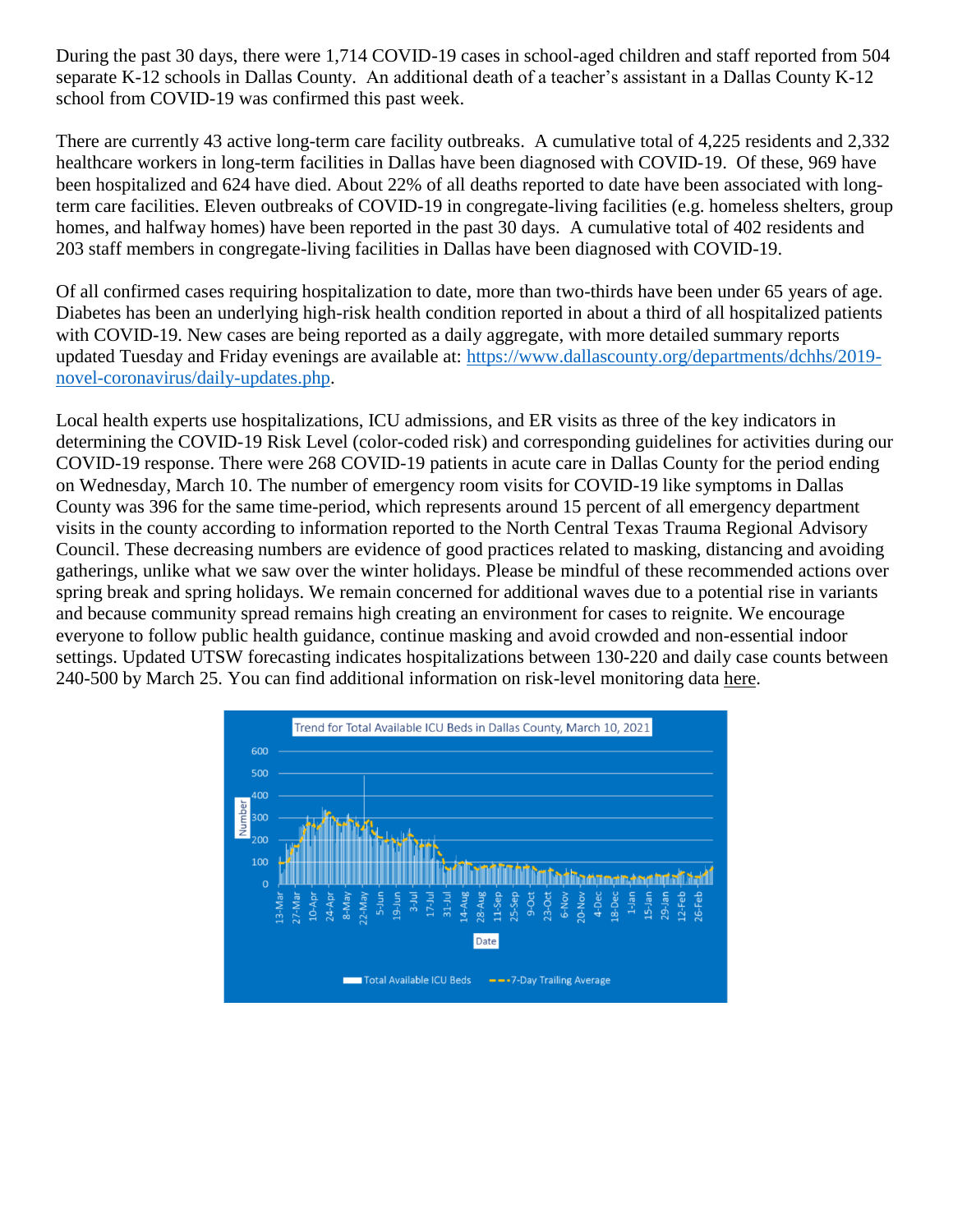During the past 30 days, there were 1,714 COVID-19 cases in school-aged children and staff reported from 504 separate K-12 schools in Dallas County. An additional death of a teacher's assistant in a Dallas County K-12 school from COVID-19 was confirmed this past week.

There are currently 43 active long-term care facility outbreaks. A cumulative total of 4,225 residents and 2,332 healthcare workers in long-term facilities in Dallas have been diagnosed with COVID-19. Of these, 969 have been hospitalized and 624 have died. About 22% of all deaths reported to date have been associated with longterm care facilities. Eleven outbreaks of COVID-19 in congregate-living facilities (e.g. homeless shelters, group homes, and halfway homes) have been reported in the past 30 days. A cumulative total of 402 residents and 203 staff members in congregate-living facilities in Dallas have been diagnosed with COVID-19.

Of all confirmed cases requiring hospitalization to date, more than two-thirds have been under 65 years of age. Diabetes has been an underlying high-risk health condition reported in about a third of all hospitalized patients with COVID-19. New cases are being reported as a daily aggregate, with more detailed summary reports updated Tuesday and Friday evenings are available at: [https://www.dallascounty.org/departments/dchhs/2019](https://www.dallascounty.org/departments/dchhs/2019-novel-coronavirus/daily-updates.php) [novel-coronavirus/daily-updates.php.](https://www.dallascounty.org/departments/dchhs/2019-novel-coronavirus/daily-updates.php)

Local health experts use hospitalizations, ICU admissions, and ER visits as three of the key indicators in determining the COVID-19 Risk Level (color-coded risk) and corresponding guidelines for activities during our COVID-19 response. There were 268 COVID-19 patients in acute care in Dallas County for the period ending on Wednesday, March 10. The number of emergency room visits for COVID-19 like symptoms in Dallas County was 396 for the same time-period, which represents around 15 percent of all emergency department visits in the county according to information reported to the North Central Texas Trauma Regional Advisory Council. These decreasing numbers are evidence of good practices related to masking, distancing and avoiding gatherings, unlike what we saw over the winter holidays. Please be mindful of these recommended actions over spring break and spring holidays. We remain concerned for additional waves due to a potential rise in variants and because community spread remains high creating an environment for cases to reignite. We encourage everyone to follow public health guidance, continue masking and avoid crowded and non-essential indoor settings. Updated UTSW forecasting indicates hospitalizations between 130-220 and daily case counts between 240-500 by March 25. You can find additional information on risk-level monitoring data [here.](https://www.dallascounty.org/Assets/uploads/docs/hhs/2019-nCoV/C-19-risklevelmgmt/031021-DallasCounty-COVID-19-Hospitalization-Data.pdf)

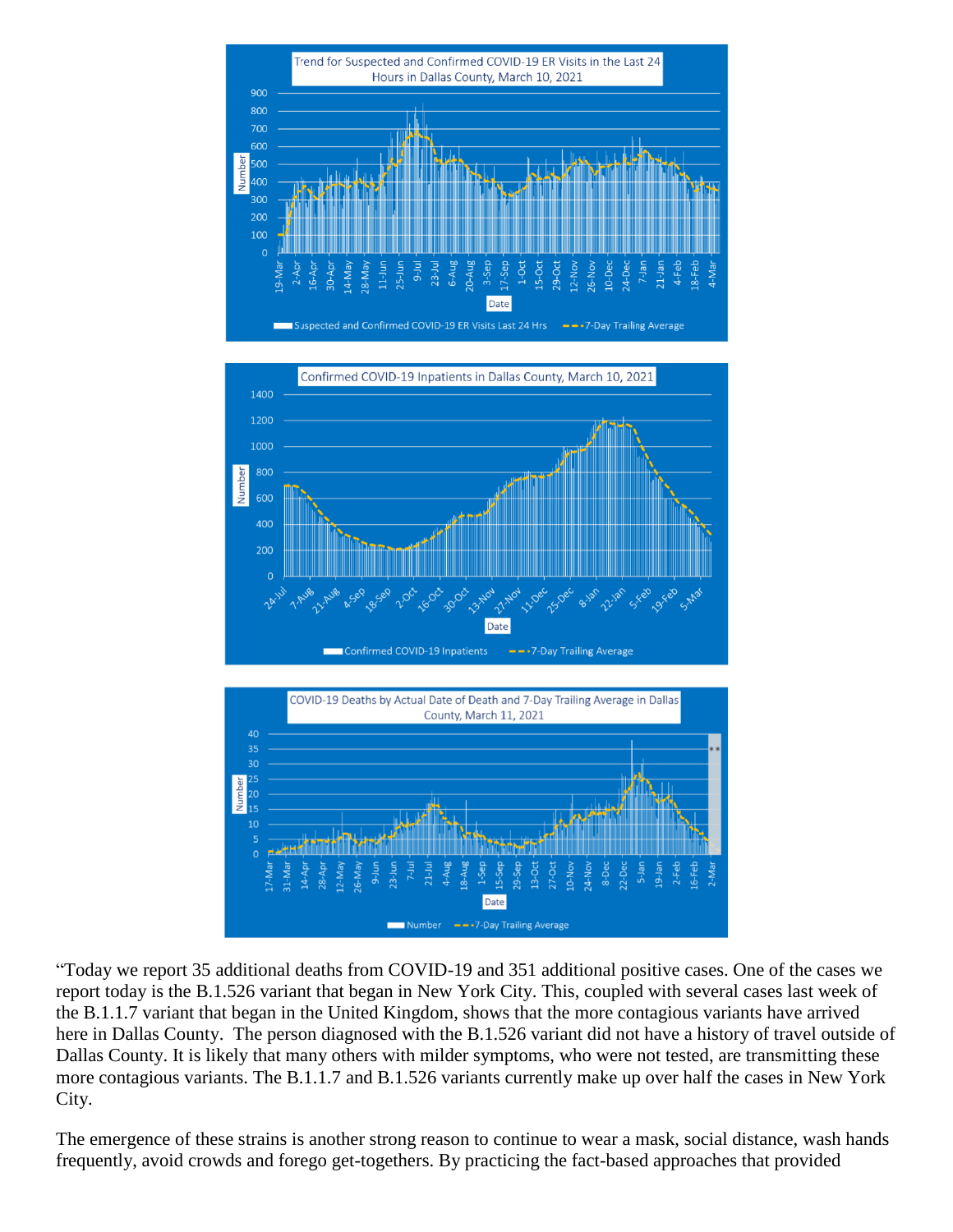





"Today we report 35 additional deaths from COVID-19 and 351 additional positive cases. One of the cases we report today is the B.1.526 variant that began in New York City. This, coupled with several cases last week of the B.1.1.7 variant that began in the United Kingdom, shows that the more contagious variants have arrived here in Dallas County. The person diagnosed with the B.1.526 variant did not have a history of travel outside of Dallas County. It is likely that many others with milder symptoms, who were not tested, are transmitting these more contagious variants. The B.1.1.7 and B.1.526 variants currently make up over half the cases in New York City.

The emergence of these strains is another strong reason to continue to wear a mask, social distance, wash hands frequently, avoid crowds and forego get-togethers. By practicing the fact-based approaches that provided